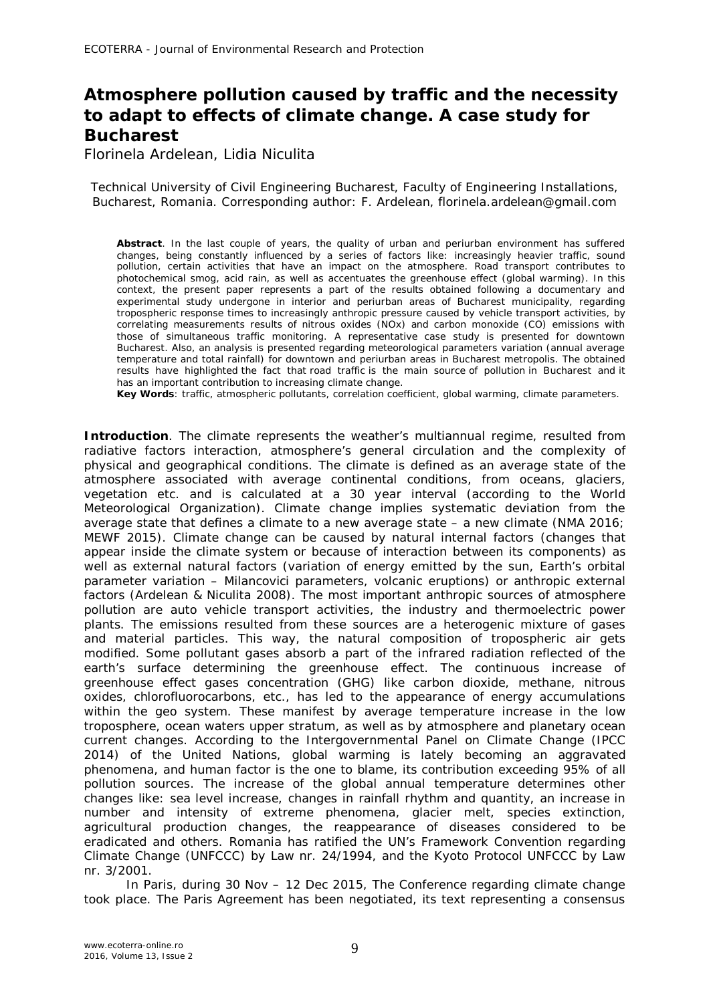## **Atmosphere pollution caused by traffic and the necessity to adapt to effects of climate change. A case study for Bucharest**

Florinela Ardelean, Lidia Niculita

Technical University of Civil Engineering Bucharest, Faculty of Engineering Installations, Bucharest, Romania. Corresponding author: F. Ardelean, florinela.ardelean@gmail.com

**Abstract**. In the last couple of years, the quality of urban and periurban environment has suffered changes, being constantly influenced by a series of factors like: increasingly heavier traffic, sound pollution, certain activities that have an impact on the atmosphere. Road transport contributes to photochemical smog, acid rain, as well as accentuates the greenhouse effect (global warming). In this context, the present paper represents a part of the results obtained following a documentary and experimental study undergone in interior and periurban areas of Bucharest municipality, regarding tropospheric response times to increasingly anthropic pressure caused by vehicle transport activities, by correlating measurements results of nitrous oxides (NOx) and carbon monoxide (CO) emissions with those of simultaneous traffic monitoring. A representative case study is presented for downtown Bucharest. Also, an analysis is presented regarding meteorological parameters variation (annual average temperature and total rainfall) for downtown and periurban areas in Bucharest metropolis. The obtained results have highlighted the fact that road traffic is the main source of pollution in Bucharest and it has an important contribution to increasing climate change.

**Key Words**: traffic, atmospheric pollutants, correlation coefficient, global warming, climate parameters.

**Introduction**. The climate represents the weather's multiannual regime, resulted from radiative factors interaction, atmosphere's general circulation and the complexity of physical and geographical conditions. The climate is defined as an average state of the atmosphere associated with average continental conditions, from oceans, glaciers, vegetation etc. and is calculated at a 30 year interval (according to the World Meteorological Organization). Climate change implies systematic deviation from the average state that defines a climate to a new average state – a new climate (NMA 2016; MEWF 2015). Climate change can be caused by natural internal factors (changes that appear inside the climate system or because of interaction between its components) as well as external natural factors (variation of energy emitted by the sun, Earth's orbital parameter variation – Milancovici parameters, volcanic eruptions) or anthropic external factors (Ardelean & Niculita 2008). The most important anthropic sources of atmosphere pollution are auto vehicle transport activities, the industry and thermoelectric power plants. The emissions resulted from these sources are a heterogenic mixture of gases and material particles. This way, the natural composition of tropospheric air gets modified. Some pollutant gases absorb a part of the infrared radiation reflected of the earth's surface determining the greenhouse effect. The continuous increase of greenhouse effect gases concentration (GHG) like carbon dioxide, methane, nitrous oxides, chlorofluorocarbons, etc., has led to the appearance of energy accumulations within the geo system. These manifest by average temperature increase in the low troposphere, ocean waters upper stratum, as well as by atmosphere and planetary ocean current changes. According to the Intergovernmental Panel on Climate Change (IPCC 2014) of the United Nations, global warming is lately becoming an aggravated phenomena, and human factor is the one to blame, its contribution exceeding 95% of all pollution sources. The increase of the global annual temperature determines other changes like: sea level increase, changes in rainfall rhythm and quantity, an increase in number and intensity of extreme phenomena, glacier melt, species extinction, agricultural production changes, the reappearance of diseases considered to be eradicated and others. Romania has ratified the UN's Framework Convention regarding Climate Change (UNFCCC) by Law nr. 24/1994, and the Kyoto Protocol UNFCCC by Law nr. 3/2001.

In Paris, during 30 Nov – 12 Dec 2015, The Conference regarding climate change took place. The Paris Agreement has been negotiated, its text representing a consensus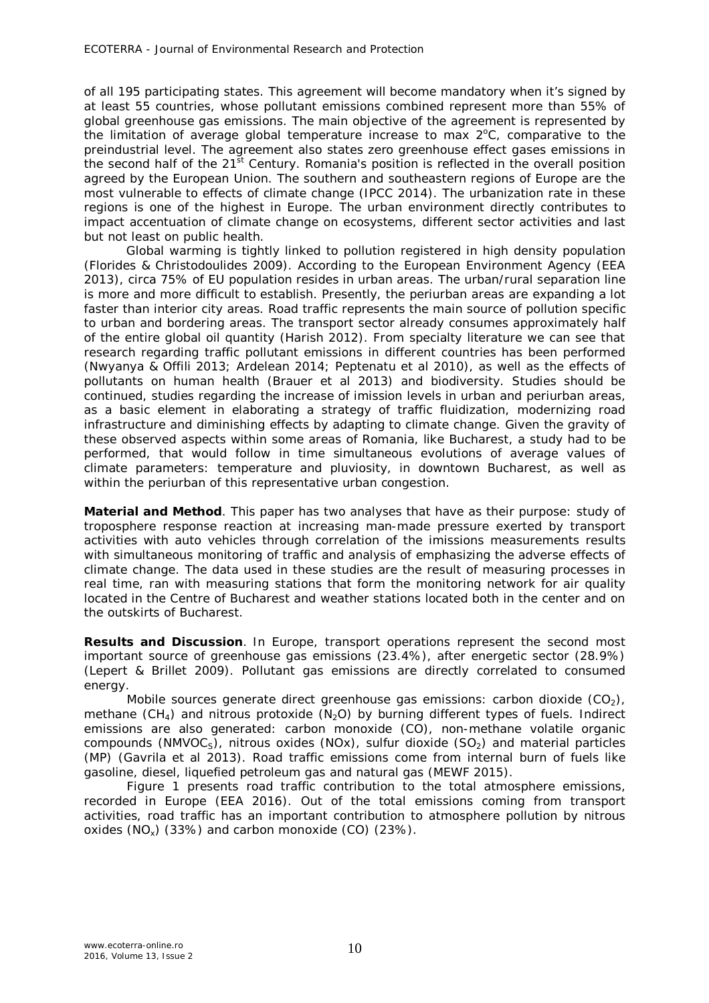of all 195 participating states. This agreement will become mandatory when it's signed by at least 55 countries, whose pollutant emissions combined represent more than 55% of global greenhouse gas emissions. The main objective of the agreement is represented by the limitation of average global temperature increase to max  $2^{\circ}$ C, comparative to the preindustrial level. The agreement also states zero greenhouse effect gases emissions in the second half of the  $21<sup>st</sup>$  Century. Romania's position is reflected in the overall position agreed by the European Union. The southern and southeastern regions of Europe are the most vulnerable to effects of climate change (IPCC 2014). The urbanization rate in these regions is one of the highest in Europe. The urban environment directly contributes to impact accentuation of climate change on ecosystems, different sector activities and last but not least on public health.

Global warming is tightly linked to pollution registered in high density population (Florides & Christodoulides 2009). According to the European Environment Agency (EEA 2013), circa 75% of EU population resides in urban areas. The urban/rural separation line is more and more difficult to establish. Presently, the periurban areas are expanding a lot faster than interior city areas. Road traffic represents the main source of pollution specific to urban and bordering areas. The transport sector already consumes approximately half of the entire global oil quantity (Harish 2012). From specialty literature we can see that research regarding traffic pollutant emissions in different countries has been performed (Nwyanya & Offili 2013; Ardelean 2014; Peptenatu et al 2010), as well as the effects of pollutants on human health (Brauer et al 2013) and biodiversity. Studies should be continued, studies regarding the increase of imission levels in urban and periurban areas, as a basic element in elaborating a strategy of traffic fluidization, modernizing road infrastructure and diminishing effects by adapting to climate change. Given the gravity of these observed aspects within some areas of Romania, like Bucharest, a study had to be performed, that would follow in time simultaneous evolutions of average values of climate parameters: temperature and pluviosity, in downtown Bucharest, as well as within the periurban of this representative urban congestion.

**Material and Method**. This paper has two analyses that have as their purpose: study of troposphere response reaction at increasing man-made pressure exerted by transport activities with auto vehicles through correlation of the imissions measurements results with simultaneous monitoring of traffic and analysis of emphasizing the adverse effects of climate change. The data used in these studies are the result of measuring processes in real time, ran with measuring stations that form the monitoring network for air quality located in the Centre of Bucharest and weather stations located both in the center and on the outskirts of Bucharest.

**Results and Discussion**. In Europe, transport operations represent the second most important source of greenhouse gas emissions (23.4%), after energetic sector (28.9%) (Lepert & Brillet 2009). Pollutant gas emissions are directly correlated to consumed energy.

Mobile sources generate direct greenhouse gas emissions: carbon dioxide  $(CO<sub>2</sub>)$ , methane (CH<sub>4</sub>) and nitrous protoxide (N<sub>2</sub>O) by burning different types of fuels. Indirect emissions are also generated: carbon monoxide (CO), non-methane volatile organic compounds (NMVOC<sub>S</sub>), nitrous oxides (NOx), sulfur dioxide (SO<sub>2</sub>) and material particles (MP) (Gavrila et al 2013). Road traffic emissions come from internal burn of fuels like gasoline, diesel, liquefied petroleum gas and natural gas (MEWF 2015).

Figure 1 presents road traffic contribution to the total atmosphere emissions, recorded in Europe (EEA 2016). Out of the total emissions coming from transport activities, road traffic has an important contribution to atmosphere pollution by nitrous oxides (NOx) (33%) and carbon monoxide (CO) (23%).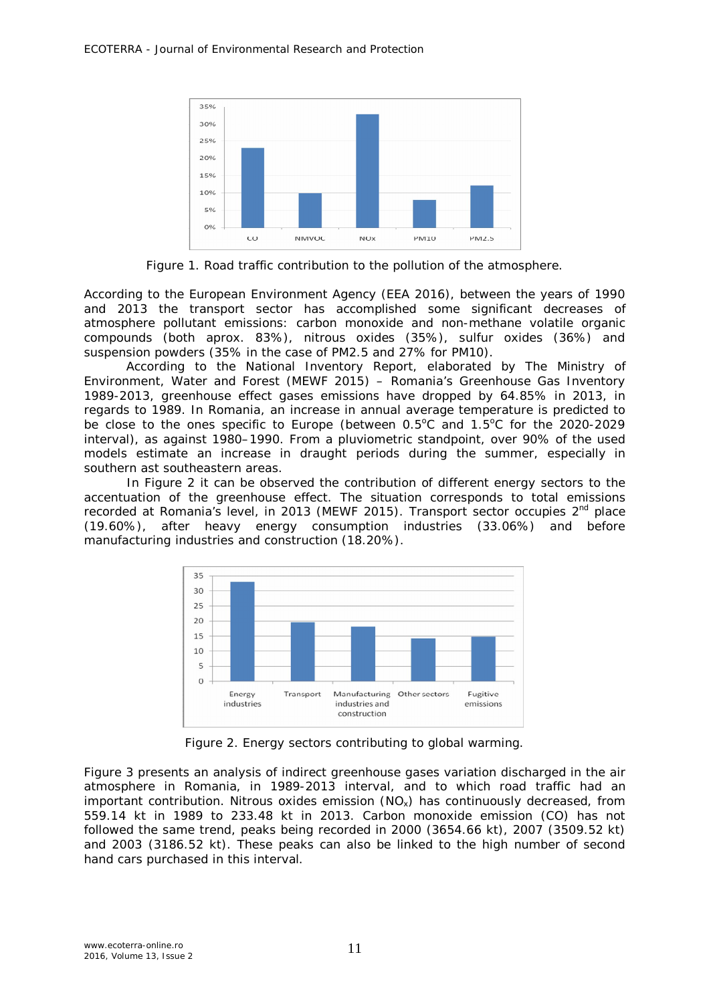

Figure 1. Road traffic contribution to the pollution of the atmosphere.

According to the European Environment Agency (EEA 2016), between the years of 1990 and 2013 the transport sector has accomplished some significant decreases of atmosphere pollutant emissions: carbon monoxide and non-methane volatile organic compounds (both aprox. 83%), nitrous oxides (35%), sulfur oxides (36%) and suspension powders (35% in the case of PM2.5 and 27% for PM10).

According to the National Inventory Report, elaborated by The Ministry of Environment, Water and Forest (MEWF 2015) – Romania's Greenhouse Gas Inventory 1989-2013, greenhouse effect gases emissions have dropped by 64.85% in 2013, in regards to 1989. In Romania, an increase in annual average temperature is predicted to be close to the ones specific to Europe (between  $0.5^{\circ}$ C and  $1.5^{\circ}$ C for the 2020-2029 interval), as against 1980–1990. From a pluviometric standpoint, over 90% of the used models estimate an increase in draught periods during the summer, especially in southern ast southeastern areas.

In Figure 2 it can be observed the contribution of different energy sectors to the accentuation of the greenhouse effect. The situation corresponds to total emissions recorded at Romania's level, in 2013 (MEWF 2015). Transport sector occupies 2<sup>nd</sup> place (19.60%), after heavy energy consumption industries (33.06%) and before manufacturing industries and construction (18.20%).



Figure 2. Energy sectors contributing to global warming.

Figure 3 presents an analysis of indirect greenhouse gases variation discharged in the air atmosphere in Romania, in 1989-2013 interval, and to which road traffic had an important contribution. Nitrous oxides emission  $(NO<sub>x</sub>)$  has continuously decreased, from 559.14 kt in 1989 to 233.48 kt in 2013. Carbon monoxide emission (CO) has not followed the same trend, peaks being recorded in 2000 (3654.66 kt), 2007 (3509.52 kt) and 2003 (3186.52 kt). These peaks can also be linked to the high number of second hand cars purchased in this interval.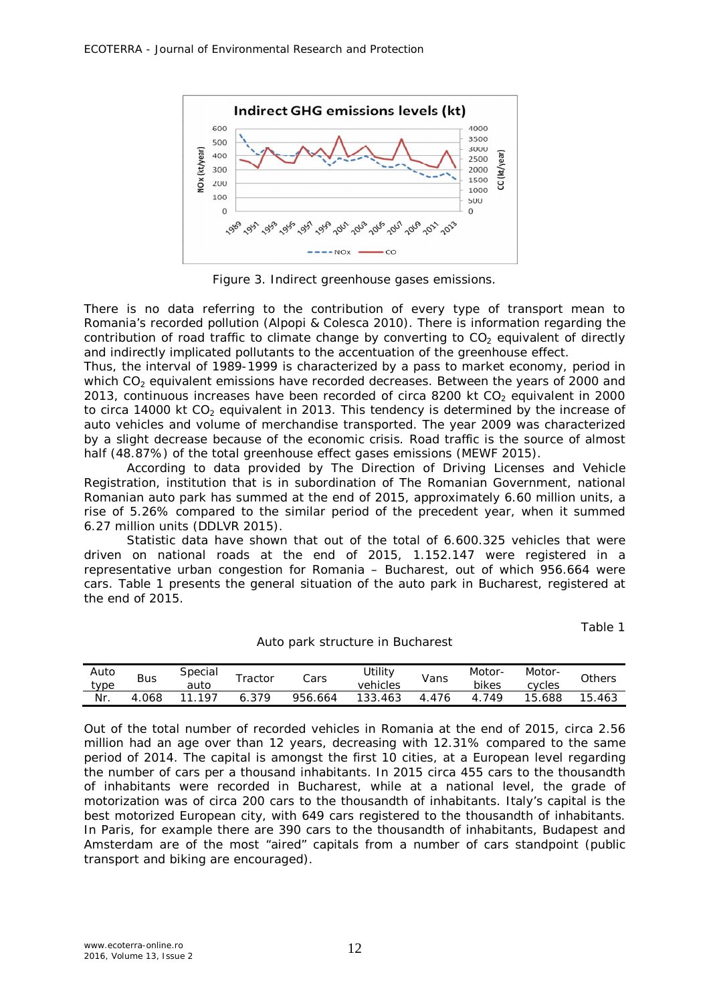

Figure 3. Indirect greenhouse gases emissions.

There is no data referring to the contribution of every type of transport mean to Romania's recorded pollution (Alpopi & Colesca 2010). There is information regarding the contribution of road traffic to climate change by converting to  $CO<sub>2</sub>$  equivalent of directly and indirectly implicated pollutants to the accentuation of the greenhouse effect.

Thus, the interval of 1989-1999 is characterized by a pass to market economy, period in which CO<sub>2</sub> equivalent emissions have recorded decreases. Between the years of 2000 and 2013, continuous increases have been recorded of circa 8200 kt  $CO<sub>2</sub>$  equivalent in 2000 to circa 14000 kt  $CO<sub>2</sub>$  equivalent in 2013. This tendency is determined by the increase of auto vehicles and volume of merchandise transported. The year 2009 was characterized by a slight decrease because of the economic crisis. Road traffic is the source of almost half (48.87%) of the total greenhouse effect gases emissions (MEWF 2015).

According to data provided by The Direction of Driving Licenses and Vehicle Registration, institution that is in subordination of The Romanian Government, national Romanian auto park has summed at the end of 2015, approximately 6.60 million units, a rise of 5.26% compared to the similar period of the precedent year, when it summed 6.27 million units (DDLVR 2015).

Statistic data have shown that out of the total of 6.600.325 vehicles that were driven on national roads at the end of 2015, 1.152.147 were registered in a representative urban congestion for Romania – Bucharest, out of which 956.664 were cars. Table 1 presents the general situation of the auto park in Bucharest, registered at the end of 2015.

Table 1

| Auto<br><i>t</i> vpe | <b>Bus</b> | Special<br>auto | $\tau$ ractor | Cars    | <i>Utility</i><br>vehicles | Vans | Motor-<br>bikes | Motor-<br>cvcles | Others |
|----------------------|------------|-----------------|---------------|---------|----------------------------|------|-----------------|------------------|--------|
| Nr.                  | .068<br>4  | 197<br>l 1      | 379           | 956.664 | 133<br>.463                | 476  | 749             | 688.<br>$15 -$   | 15.463 |

Auto park structure in Bucharest

Out of the total number of recorded vehicles in Romania at the end of 2015, circa 2.56 million had an age over than 12 years, decreasing with 12.31% compared to the same period of 2014. The capital is amongst the first 10 cities, at a European level regarding the number of cars per a thousand inhabitants. In 2015 circa 455 cars to the thousandth of inhabitants were recorded in Bucharest, while at a national level, the grade of motorization was of circa 200 cars to the thousandth of inhabitants. Italy's capital is the best motorized European city, with 649 cars registered to the thousandth of inhabitants. In Paris, for example there are 390 cars to the thousandth of inhabitants, Budapest and Amsterdam are of the most "aired" capitals from a number of cars standpoint (public transport and biking are encouraged).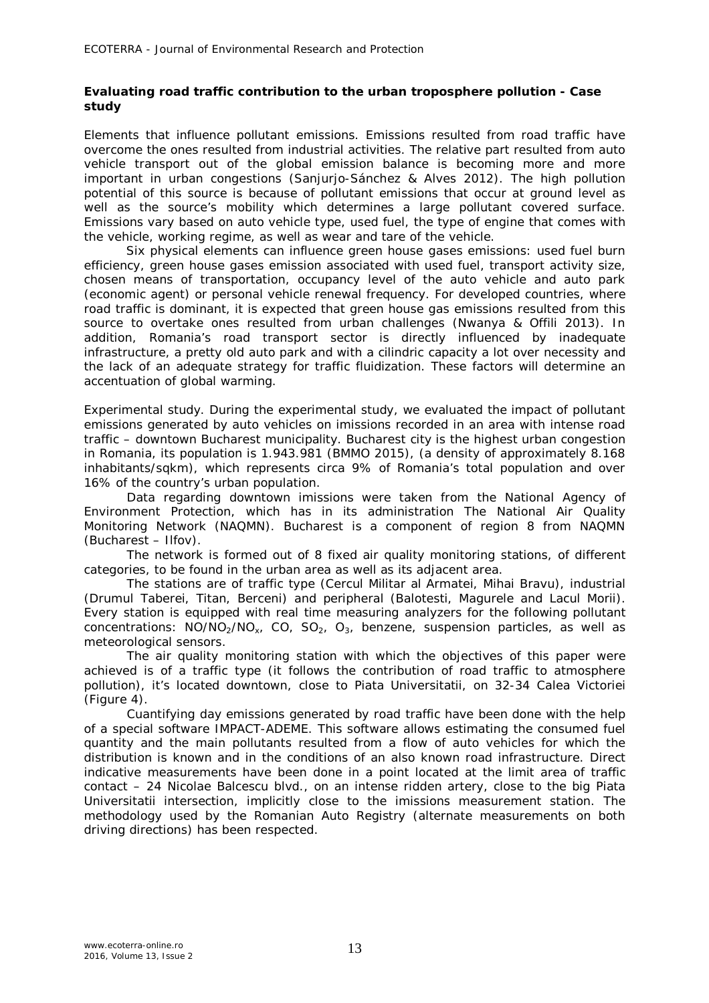## *Evaluating road traffic contribution to the urban troposphere pollution - Case study*

*Elements that influence pollutant emissions.* Emissions resulted from road traffic have overcome the ones resulted from industrial activities. The relative part resulted from auto vehicle transport out of the global emission balance is becoming more and more important in urban congestions (Sanjurjo-Sánchez & Alves 2012). The high pollution potential of this source is because of pollutant emissions that occur at ground level as well as the source's mobility which determines a large pollutant covered surface. Emissions vary based on auto vehicle type, used fuel, the type of engine that comes with the vehicle, working regime, as well as wear and tare of the vehicle.

Six physical elements can influence green house gases emissions: used fuel burn efficiency, green house gases emission associated with used fuel, transport activity size, chosen means of transportation, occupancy level of the auto vehicle and auto park (economic agent) or personal vehicle renewal frequency. For developed countries, where road traffic is dominant, it is expected that green house gas emissions resulted from this source to overtake ones resulted from urban challenges (Nwanya & Offili 2013). In addition, Romania's road transport sector is directly influenced by inadequate infrastructure, a pretty old auto park and with a cilindric capacity a lot over necessity and the lack of an adequate strategy for traffic fluidization. These factors will determine an accentuation of global warming.

*Experimental study.* During the experimental study, we evaluated the impact of pollutant emissions generated by auto vehicles on imissions recorded in an area with intense road traffic – downtown Bucharest municipality. Bucharest city is the highest urban congestion in Romania, its population is 1.943.981 (BMMO 2015), (a density of approximately 8.168 inhabitants/sqkm), which represents circa 9% of Romania's total population and over 16% of the country's urban population.

Data regarding downtown imissions were taken from the National Agency of Environment Protection, which has in its administration The National Air Quality Monitoring Network (NAQMN). Bucharest is a component of region 8 from NAQMN (Bucharest – Ilfov).

The network is formed out of 8 fixed air quality monitoring stations, of different categories, to be found in the urban area as well as its adjacent area.

The stations are of traffic type (Cercul Militar al Armatei, Mihai Bravu), industrial (Drumul Taberei, Titan, Berceni) and peripheral (Balotesti, Magurele and Lacul Morii). Every station is equipped with real time measuring analyzers for the following pollutant concentrations:  $NO/NO<sub>2</sub>/NO<sub>x</sub>$ ,  $CO<sub>1</sub>$ ,  $SO<sub>2</sub>$ ,  $O<sub>3</sub>$ , benzene, suspension particles, as well as meteorological sensors.

The air quality monitoring station with which the objectives of this paper were achieved is of a traffic type (it follows the contribution of road traffic to atmosphere pollution), it's located downtown, close to Piata Universitatii, on 32-34 Calea Victoriei (Figure 4).

Cuantifying day emissions generated by road traffic have been done with the help of a special software IMPACT-ADEME. This software allows estimating the consumed fuel quantity and the main pollutants resulted from a flow of auto vehicles for which the distribution is known and in the conditions of an also known road infrastructure. Direct indicative measurements have been done in a point located at the limit area of traffic contact – 24 Nicolae Balcescu blvd., on an intense ridden artery, close to the big Piata Universitatii intersection, implicitly close to the imissions measurement station. The methodology used by the Romanian Auto Registry (alternate measurements on both driving directions) has been respected.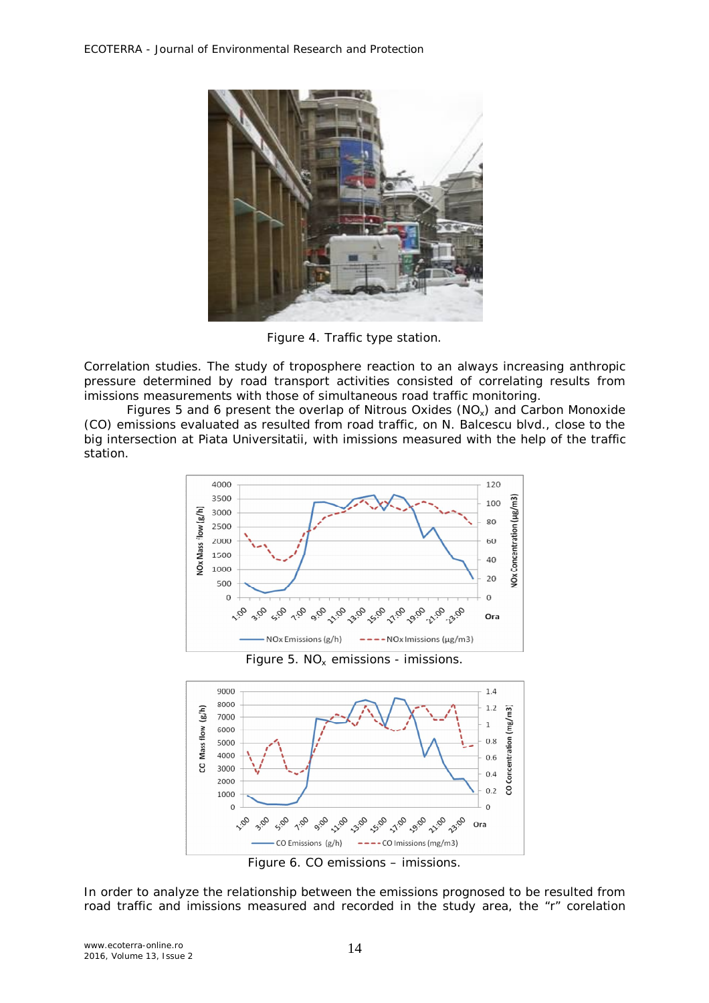

Figure 4. Traffic type station.

*Correlation studies.* The study of troposphere reaction to an always increasing anthropic pressure determined by road transport activities consisted of correlating results from imissions measurements with those of simultaneous road traffic monitoring.

Figures 5 and 6 present the overlap of Nitrous Oxides ( $NO<sub>x</sub>$ ) and Carbon Monoxide (CO) emissions evaluated as resulted from road traffic, on N. Balcescu blvd., close to the big intersection at Piata Universitatii, with imissions measured with the help of the traffic station.



Figure 5.  $NO<sub>x</sub>$  emissions - imissions.



Figure 6. CO emissions – imissions.

In order to analyze the relationship between the *emissions* prognosed to be resulted from road traffic and *imissions* measured and recorded in the study area, the "r" corelation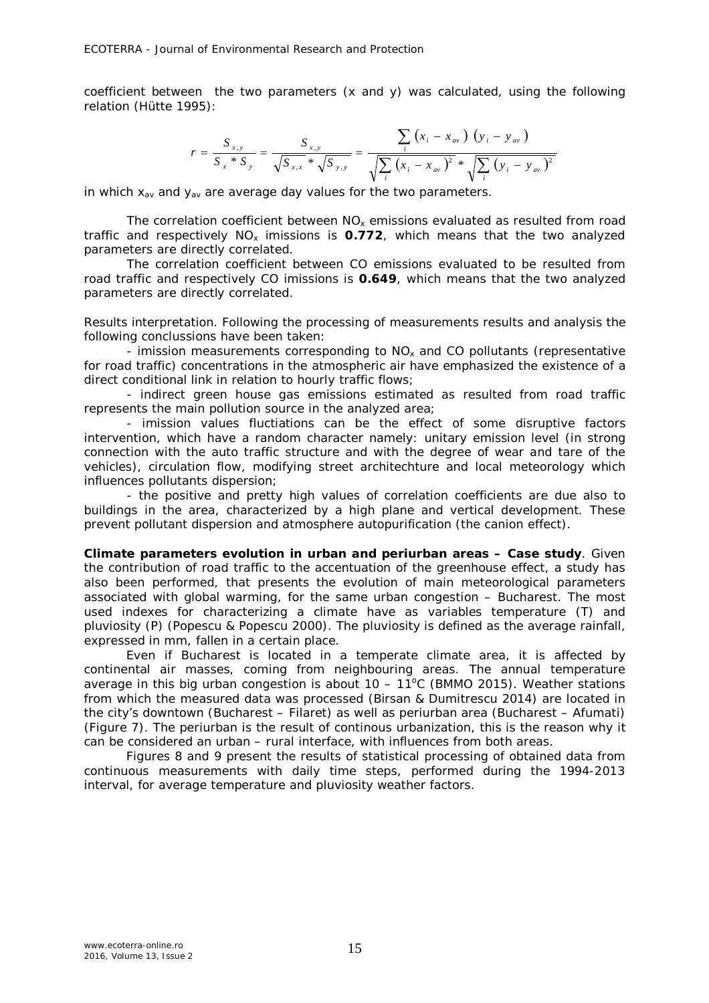coefficient between the two parameters (x and y) was calculated, using the following relation (Hütte 1995):

$$
r = \frac{S_{x,y}}{S_x * S_y} = \frac{S_{x,y}}{\sqrt{S_{x,x}} * \sqrt{S_{y,y}}} = \frac{\sum_{i} (x_i - x_{av}) (y_i - y_{av})}{\sqrt{\sum_{i} (x_i - x_{av})^2} * \sqrt{\sum_{i} (y_i - y_{av})^2}}
$$

in which  $x_{av}$  and  $y_{av}$  are average day values for the two parameters.

*The correlation coefficient* between *NOx emissions* evaluated as resulted from road traffic and respectively *NOx imissions* is *0.772*, which means that *the two analyzed parameters are directly correlated*.

*The correlation coefficient* between *CO emissions* evaluated to be resulted from road traffic and respectively *CO imissions* is *0.649*, which means that *the two analyzed parameters are directly correlated.*

*Results interpretation.* Following the processing of measurements results and analysis the following conclussions have been taken:

- imission measurements corresponding to  $NO<sub>x</sub>$  and CO pollutants (representative for road traffic) concentrations in the atmospheric air have emphasized the existence of a direct conditional link in relation to hourly traffic flows;

- indirect green house gas emissions estimated as resulted from road traffic represents the main pollution source in the analyzed area;

- imission values fluctiations can be the effect of some disruptive factors intervention, which have a random character namely: unitary emission level (in strong connection with the auto traffic structure and with the degree of wear and tare of the vehicles), circulation flow, modifying street architechture and local meteorology which influences pollutants dispersion;

- the positive and pretty high values of correlation coefficients are due also to buildings in the area, characterized by a high plane and vertical development. These prevent pollutant dispersion and atmosphere autopurification (the canion effect).

**Climate parameters evolution in urban and periurban areas – Case study**. Given the contribution of road traffic to the accentuation of the greenhouse effect, a study has also been performed, that presents the evolution of main meteorological parameters associated with global warming, for the same urban congestion – Bucharest. The most used indexes for characterizing a climate have as variables temperature (T) and pluviosity (P) (Popescu & Popescu 2000). The pluviosity is defined as the average rainfall, expressed in mm, fallen in a certain place.

Even if Bucharest is located in a temperate climate area, it is affected by continental air masses, coming from neighbouring areas. The annual temperature average in this big urban congestion is about  $10 - 11^{\circ}$ C (BMMO 2015). Weather stations from which the measured data was processed (Birsan & Dumitrescu 2014) are located in the city's downtown (Bucharest – Filaret) as well as periurban area (Bucharest – Afumati) (Figure 7). The periurban is the result of continous urbanization, this is the reason why it can be considered an urban – rural interface, with influences from both areas.

Figures 8 and 9 present the results of statistical processing of obtained data from continuous measurements with daily time steps, performed during the 1994-2013 interval, for average temperature and pluviosity weather factors.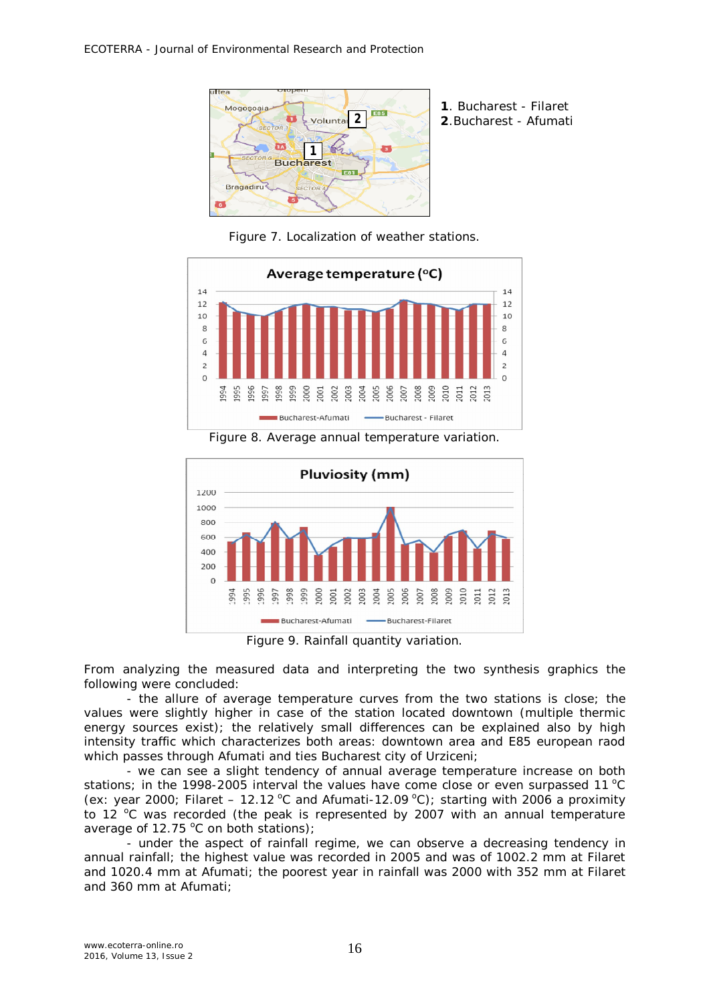

**2**.Bucharest - Afumati

Figure 7. Localization of weather stations.



Figure 8. Average annual temperature variation.



Figure 9. Rainfall quantity variation.

From analyzing the measured data and interpreting the two synthesis graphics the following were concluded:

- the allure of average temperature curves from the two stations is close; the values were slightly higher in case of the station located downtown (multiple thermic energy sources exist); the relatively small differences can be explained also by high intensity traffic which characterizes both areas: downtown area and E85 european raod which passes through Afumati and ties Bucharest city of Urziceni;

- we can see a slight tendency of annual average temperature increase on both stations; in the 1998-2005 interval the values have come close or even surpassed 11  $^{\circ}$ C (ex: year 2000; Filaret – 12.12 °C and Afumati-12.09 °C); starting with 2006 a proximity to 12  $^{\circ}$ C was recorded (the peak is represented by 2007 with an annual temperature average of 12.75  $\degree$ C on both stations);

- under the aspect of rainfall regime, we can observe a decreasing tendency in annual rainfall; the highest value was recorded in 2005 and was of 1002.2 mm at Filaret and 1020.4 mm at Afumati; the poorest year in rainfall was 2000 with 352 mm at Filaret and 360 mm at Afumati;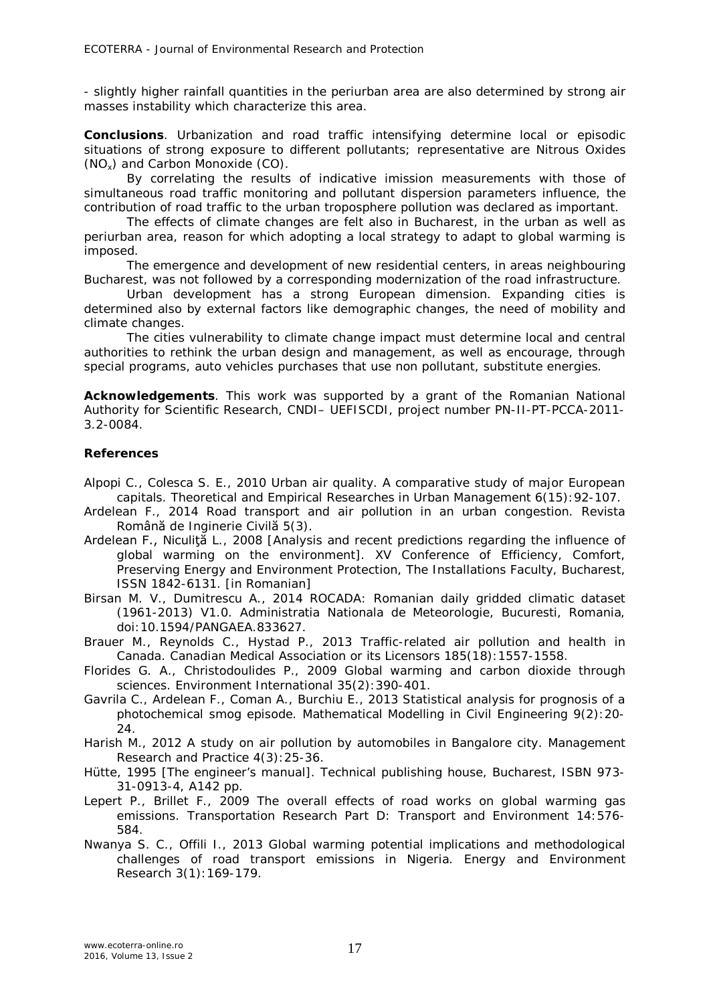- slightly higher rainfall quantities in the periurban area are also determined by strong air masses instability which characterize this area.

**Conclusions**. Urbanization and road traffic intensifying determine local or episodic situations of strong exposure to different pollutants; representative are Nitrous Oxides (NOx) and Carbon Monoxide (CO).

By correlating the results of indicative imission measurements with those of simultaneous road traffic monitoring and pollutant dispersion parameters influence, the contribution of road traffic to the urban troposphere pollution was declared as important.

The effects of climate changes are felt also in Bucharest, in the urban as well as periurban area, reason for which adopting a local strategy to adapt to global warming is imposed.

The emergence and development of new residential centers, in areas neighbouring Bucharest, was not followed by a corresponding modernization of the road infrastructure.

Urban development has a strong European dimension. Expanding cities is determined also by external factors like demographic changes, the need of mobility and climate changes.

The cities vulnerability to climate change impact must determine local and central authorities to rethink the urban design and management, as well as encourage, through special programs, auto vehicles purchases that use non pollutant, substitute energies.

**Acknowledgements**. This work was supported by a grant of the Romanian National Authority for Scientific Research, CNDI– UEFISCDI, project number PN-II-PT-PCCA-2011- 3.2-0084.

## **References**

- Alpopi C., Colesca S. E., 2010 Urban air quality. A comparative study of major European capitals. Theoretical and Empirical Researches in Urban Management 6(15):92-107.
- Ardelean F., 2014 Road transport and air pollution in an urban congestion. Revista Română de Inginerie Civilă 5(3).
- Ardelean F., Niculiţă L., 2008 [Analysis and recent predictions regarding the influence of global warming on the environment]. XV Conference of Efficiency, Comfort, Preserving Energy and Environment Protection, The Installations Faculty, Bucharest, ISSN 1842-6131. [in Romanian]
- Birsan M. V., Dumitrescu A., 2014 ROCADA: Romanian daily gridded climatic dataset (1961-2013) V1.0. Administratia Nationala de Meteorologie, Bucuresti, Romania*,* doi:10.1594/PANGAEA.833627.
- Brauer M., Reynolds C., Hystad P., 2013 Traffic-related air pollution and health in Canada. Canadian Medical Association or its Licensors 185(18):1557-1558.
- Florides G. A., Christodoulides P., 2009 Global warming and carbon dioxide through sciences. Environment International 35(2):390-401.
- Gavrila C., Ardelean F., Coman A., Burchiu E., 2013 Statistical analysis for prognosis of a photochemical smog episode. Mathematical Modelling in Civil Engineering 9(2):20- 24.
- Harish M., 2012 A study on air pollution by automobiles in Bangalore city. Management Research and Practice 4(3):25-36.
- Hütte, 1995 [The engineer's manual]. Technical publishing house, Bucharest, ISBN 973- 31-0913-4, A142 pp.
- Lepert P., Brillet F., 2009 The overall effects of road works on global warming gas emissions. Transportation Research Part D: Transport and Environment 14:576- 584.
- Nwanya S. C., Offili I., 2013 Global warming potential implications and methodological challenges of road transport emissions in Nigeria. Energy and Environment Research 3(1):169-179.